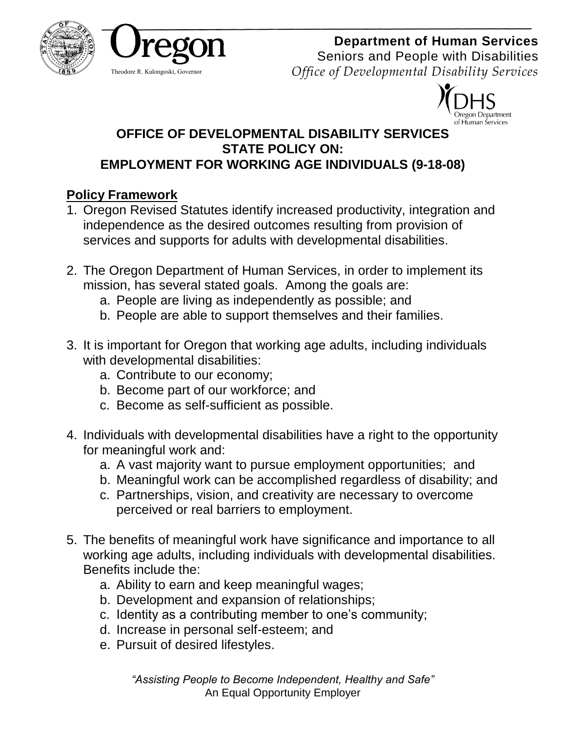



# **Department of Human Services**

Seniors and People with Disabilities *Office of Developmental Disability Services*



#### **OFFICE OF DEVELOPMENTAL DISABILITY SERVICES STATE POLICY ON: EMPLOYMENT FOR WORKING AGE INDIVIDUALS (9-18-08)**

# **Policy Framework**

- 1. Oregon Revised Statutes identify increased productivity, integration and independence as the desired outcomes resulting from provision of services and supports for adults with developmental disabilities.
- 2. The Oregon Department of Human Services, in order to implement its mission, has several stated goals. Among the goals are:
	- a. People are living as independently as possible; and
	- b. People are able to support themselves and their families.
- 3. It is important for Oregon that working age adults, including individuals with developmental disabilities:
	- a. Contribute to our economy;
	- b. Become part of our workforce; and
	- c. Become as self-sufficient as possible.
- 4. Individuals with developmental disabilities have a right to the opportunity for meaningful work and:
	- a. A vast majority want to pursue employment opportunities; and
	- b. Meaningful work can be accomplished regardless of disability; and
	- c. Partnerships, vision, and creativity are necessary to overcome perceived or real barriers to employment.
- 5. The benefits of meaningful work have significance and importance to all working age adults, including individuals with developmental disabilities. Benefits include the:
	- a. Ability to earn and keep meaningful wages;
	- b. Development and expansion of relationships;
	- c. Identity as a contributing member to one's community;
	- d. Increase in personal self-esteem; and
	- e. Pursuit of desired lifestyles.

*"Assisting People to Become Independent, Healthy and Safe"* An Equal Opportunity Employer